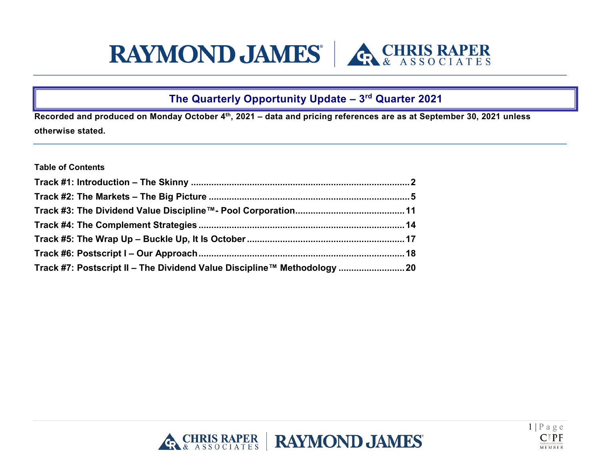# **RAYMOND JAMES RefRIS RAPER**

# **The Quarterly Opportunity Update – 3rd Quarter 2021**

**Recorded and produced on Monday October 4th, 2021 – data and pricing references are as at September 30, 2021 unless otherwise stated.** 

# **Table of Contents**

| Track #7: Postscript II – The Dividend Value Discipline™ Methodology 20 |  |
|-------------------------------------------------------------------------|--|



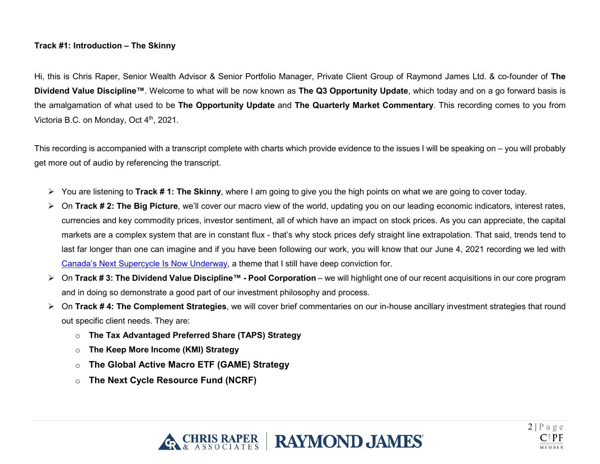# <span id="page-1-0"></span>**Track #1: Introduction – The Skinny**

Hi, this is Chris Raper, Senior Wealth Advisor & Senior Portfolio Manager, Private Client Group of Raymond James Ltd. & co-founder of **The Dividend Value Discipline™**. Welcome to what will be now known as **The Q3 Opportunity Update**, which today and on a go forward basis is the amalgamation of what used to be **The Opportunity Update** and **The Quarterly Market Commentary**. This recording comes to you from Victoria B.C. on Monday, Oct 4<sup>th</sup>, 2021.

This recording is accompanied with a transcript complete with charts which provide evidence to the issues I will be speaking on – you will probably get more out of audio by referencing the transcript.

- You are listening to **Track # 1: The Skinny**, where I am going to give you the high points on what we are going to cover today.
- > On Track # 2: The Big Picture, we'll cover our macro view of the world, updating you on our leading economic indicators, interest rates, currencies and key commodity prices, investor sentiment, all of which have an impact on stock prices. As you can appreciate, the capital markets are a complex system that are in constant flux - that's why stock prices defy straight line extrapolation. That said, trends tend to last far longer than one can imagine and if you have been following our work, you will know that our June 4, 2021 recording we led with [Canada's Next Supercycle](https://www.chrisraper.com/insights/-/media/b96efeaee18a497abe926bb93e43f0bf.ashx) Is Now Underway, a theme that I still have deep conviction for.
- On **Track # 3: The Dividend Value Discipline™ - Pool Corporation** we will highlight one of our recent acquisitions in our core program and in doing so demonstrate a good part of our investment philosophy and process.
- On **Track # 4: The Complement Strategies**, we will cover brief commentaries on our in-house ancillary investment strategies that round out specific client needs. They are:
	- o **The Tax Advantaged Preferred Share (TAPS) Strategy**
	- o **The Keep More Income (KMI) Strategy**
	- o **The Global Active Macro ETF (GAME) Strategy**
	- o **The Next Cycle Resource Fund (NCRF)**



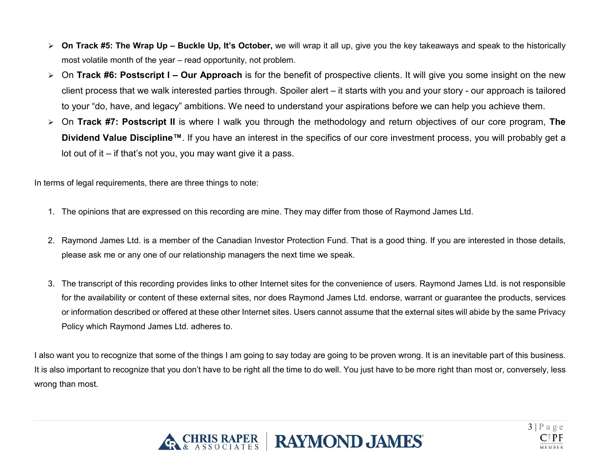- **On Track #5: The Wrap Up – Buckle Up, It's October,** we will wrap it all up, give you the key takeaways and speak to the historically most volatile month of the year – read opportunity, not problem.
- On **Track #6: Postscript I – Our Approach** is for the benefit of prospective clients. It will give you some insight on the new client process that we walk interested parties through. Spoiler alert – it starts with you and your story - our approach is tailored to your "do, have, and legacy" ambitions. We need to understand your aspirations before we can help you achieve them.
- On **Track #7: Postscript II** is where I walk you through the methodology and return objectives of our core program, **The Dividend Value Discipline™**. If you have an interest in the specifics of our core investment process, you will probably get a lot out of it – if that's not you, you may want give it a pass.

In terms of legal requirements, there are three things to note:

- 1. The opinions that are expressed on this recording are mine. They may differ from those of Raymond James Ltd.
- 2. Raymond James Ltd. is a member of the Canadian Investor Protection Fund. That is a good thing. If you are interested in those details, please ask me or any one of our relationship managers the next time we speak.
- 3. The transcript of this recording provides links to other Internet sites for the convenience of users. Raymond James Ltd. is not responsible for the availability or content of these external sites, nor does Raymond James Ltd. endorse, warrant or guarantee the products, services or information described or offered at these other Internet sites. Users cannot assume that the external sites will abide by the same Privacy Policy which Raymond James Ltd. adheres to.

I also want you to recognize that some of the things I am going to say today are going to be proven wrong. It is an inevitable part of this business. It is also important to recognize that you don't have to be right all the time to do well. You just have to be more right than most or, conversely, less wrong than most.



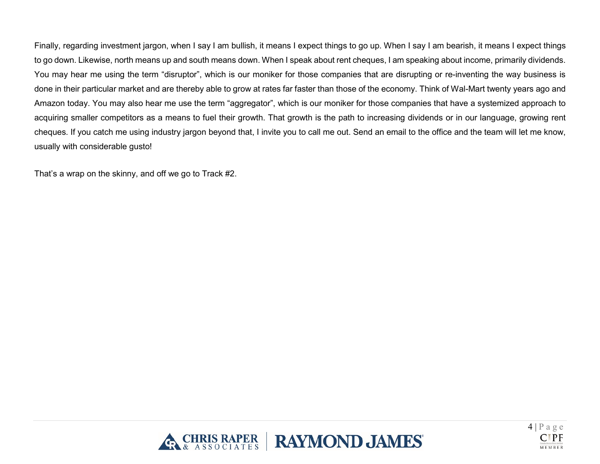Finally, regarding investment jargon, when I say I am bullish, it means I expect things to go up. When I say I am bearish, it means I expect things to go down. Likewise, north means up and south means down. When I speak about rent cheques, I am speaking about income, primarily dividends. You may hear me using the term "disruptor", which is our moniker for those companies that are disrupting or re-inventing the way business is done in their particular market and are thereby able to grow at rates far faster than those of the economy. Think of Wal-Mart twenty years ago and Amazon today. You may also hear me use the term "aggregator", which is our moniker for those companies that have a systemized approach to acquiring smaller competitors as a means to fuel their growth. That growth is the path to increasing dividends or in our language, growing rent cheques. If you catch me using industry jargon beyond that, I invite you to call me out. Send an email to the office and the team will let me know, usually with considerable gusto!

That's a wrap on the skinny, and off we go to Track #2.



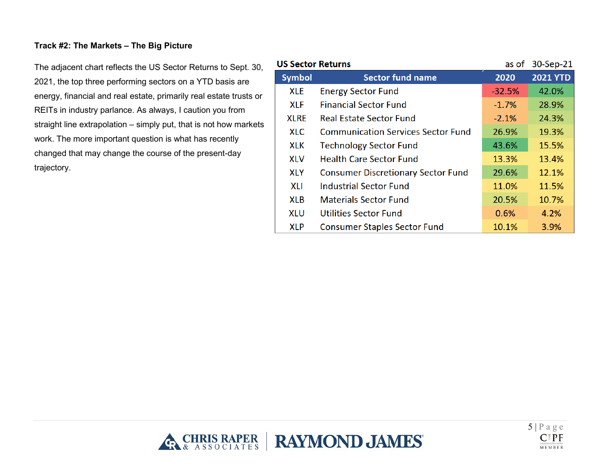# <span id="page-4-0"></span>**Track #2: The Markets – The Big Picture**

The adjacent chart reflects the US Sector Returns to Sept. 30, 2021, the top three performing sectors on a YTD basis are energy, financial and real estate, primarily real estate trusts or REITs in industry parlance. As always, I caution you from straight line extrapolation – simply put, that is not how markets work. The more important question is what has recently changed that may change the course of the present-day trajectory.

| <b>US Sector Returns</b> |                                           | as of    | 30-Sep-21       |
|--------------------------|-------------------------------------------|----------|-----------------|
| <b>Symbol</b>            | <b>Sector fund name</b>                   | 2020     | <b>2021 YTD</b> |
| <b>XLE</b>               | <b>Energy Sector Fund</b>                 | $-32.5%$ | 42.0%           |
| <b>XLF</b>               | <b>Financial Sector Fund</b>              | $-1.7%$  | 28.9%           |
| <b>XLRE</b>              | <b>Real Estate Sector Fund</b>            | $-2.1%$  | 24.3%           |
| <b>XLC</b>               | <b>Communication Services Sector Fund</b> | 26.9%    | 19.3%           |
| <b>XLK</b>               | <b>Technology Sector Fund</b>             | 43.6%    | 15.5%           |
| <b>XLV</b>               | <b>Health Care Sector Fund</b>            | 13.3%    | 13.4%           |
| <b>XLY</b>               | <b>Consumer Discretionary Sector Fund</b> | 29.6%    | 12.1%           |
| <b>XLI</b>               | <b>Industrial Sector Fund</b>             | 11.0%    | 11.5%           |
| <b>XLB</b>               | <b>Materials Sector Fund</b>              | 20.5%    | 10.7%           |
| <b>XLU</b>               | <b>Utilities Sector Fund</b>              | 0.6%     | 4.2%            |
| <b>XLP</b>               | <b>Consumer Staples Sector Fund</b>       | 10.1%    | 3.9%            |



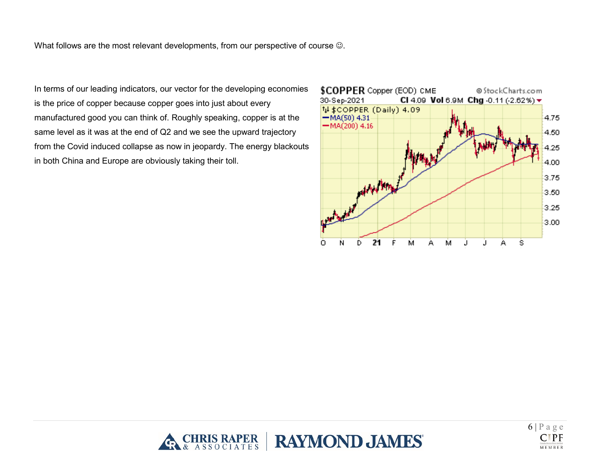What follows are the most relevant developments, from our perspective of course  $\odot$ .

In terms of our leading indicators, our vector for the developing economies is the price of copper because copper goes into just about every manufactured good you can think of. Roughly speaking, copper is at the same level as it was at the end of Q2 and we see the upward trajectory from the Covid induced collapse as now in jeopardy. The energy blackouts in both China and Europe are obviously taking their toll.





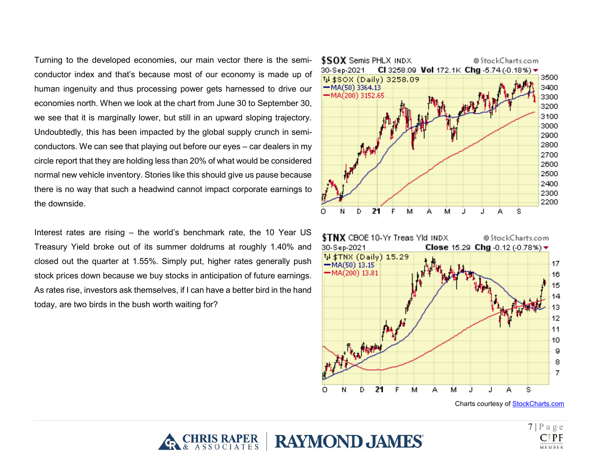Turning to the developed economies, our main vector there is the semiconductor index and that's because most of our economy is made up of human ingenuity and thus processing power gets harnessed to drive our economies north. When we look at the chart from June 30 to September 30, we see that it is marginally lower, but still in an upward sloping trajectory. Undoubtedly, this has been impacted by the global supply crunch in semiconductors. We can see that playing out before our eyes – car dealers in my circle report that they are holding less than 20% of what would be considered normal new vehicle inventory. Stories like this should give us pause because there is no way that such a headwind cannot impact corporate earnings to the downside.

Interest rates are rising – the world's benchmark rate, the 10 Year US Treasury Yield broke out of its summer doldrums at roughly 1.40% and closed out the quarter at 1.55%. Simply put, higher rates generally push stock prices down because we buy stocks in anticipation of future earnings. As rates rise, investors ask themselves, if I can have a better bird in the hand today, are two birds in the bush worth waiting for?







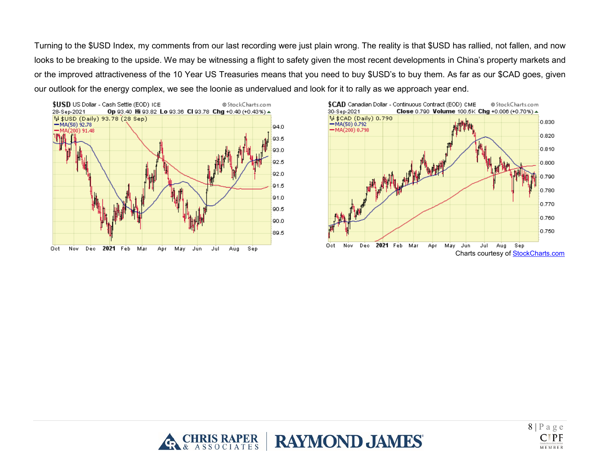Turning to the \$USD Index, my comments from our last recording were just plain wrong. The reality is that \$USD has rallied, not fallen, and now looks to be breaking to the upside. We may be witnessing a flight to safety given the most recent developments in China's property markets and or the improved attractiveness of the 10 Year US Treasuries means that you need to buy \$USD's to buy them. As far as our \$CAD goes, given our outlook for the energy complex, we see the loonie as undervalued and look for it to rally as we approach year end.







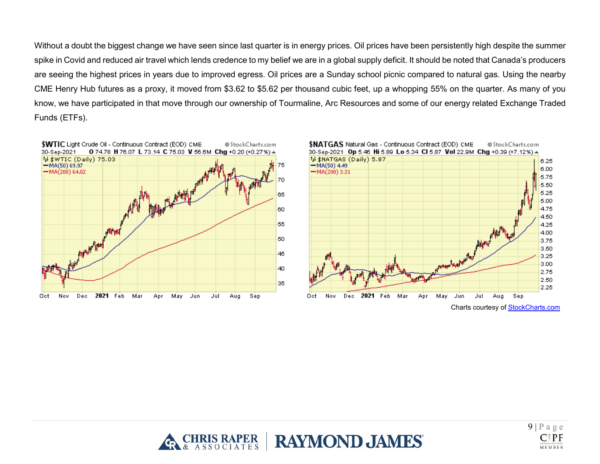Without a doubt the biggest change we have seen since last quarter is in energy prices. Oil prices have been persistently high despite the summer spike in Covid and reduced air travel which lends credence to my belief we are in a global supply deficit. It should be noted that Canada's producers are seeing the highest prices in years due to improved egress. Oil prices are a Sunday school picnic compared to natural gas. Using the nearby CME Henry Hub futures as a proxy, it moved from \$3.62 to \$5.62 per thousand cubic feet, up a whopping 55% on the quarter. As many of you know, we have participated in that move through our ownership of Tourmaline, Arc Resources and some of our energy related Exchange Traded Funds (ETFs).





Charts courtesy of [StockCharts.com](https://stockcharts.com/)



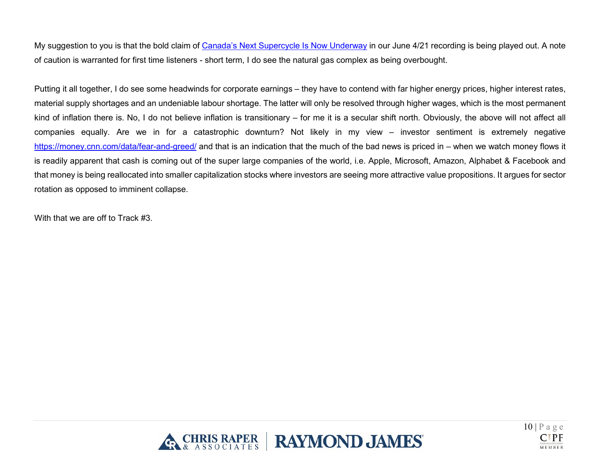My suggestion to you is that the bold claim of [Canada's Next Supercycle](https://www.chrisraper.com/insights/-/media/b96efeaee18a497abe926bb93e43f0bf.ashx) Is Now Underway in our June 4/21 recording is being played out. A note of caution is warranted for first time listeners - short term, I do see the natural gas complex as being overbought.

Putting it all together, I do see some headwinds for corporate earnings – they have to contend with far higher energy prices, higher interest rates, material supply shortages and an undeniable labour shortage. The latter will only be resolved through higher wages, which is the most permanent kind of inflation there is. No, I do not believe inflation is transitionary – for me it is a secular shift north. Obviously, the above will not affect all companies equally. Are we in for a catastrophic downturn? Not likely in my view – investor sentiment is extremely negative <https://money.cnn.com/data/fear-and-greed/> and that is an indication that the much of the bad news is priced in – when we watch money flows it is readily apparent that cash is coming out of the super large companies of the world, i.e. Apple, Microsoft, Amazon, Alphabet & Facebook and that money is being reallocated into smaller capitalization stocks where investors are seeing more attractive value propositions. It argues for sector rotation as opposed to imminent collapse.

With that we are off to Track #3.



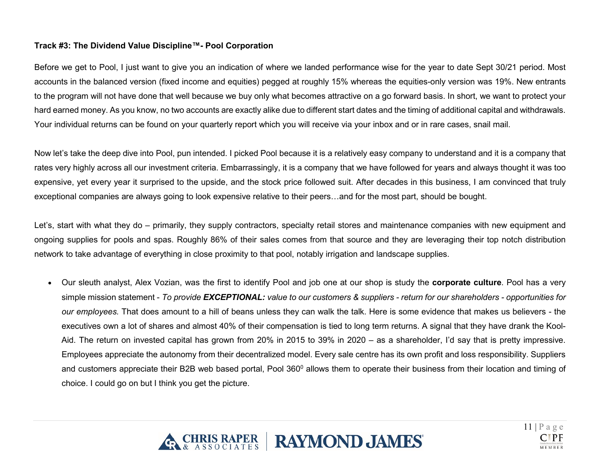# <span id="page-10-0"></span>**Track #3: The Dividend Value Discipline™- Pool Corporation**

Before we get to Pool, I just want to give you an indication of where we landed performance wise for the year to date Sept 30/21 period. Most accounts in the balanced version (fixed income and equities) pegged at roughly 15% whereas the equities-only version was 19%. New entrants to the program will not have done that well because we buy only what becomes attractive on a go forward basis. In short, we want to protect your hard earned money. As you know, no two accounts are exactly alike due to different start dates and the timing of additional capital and withdrawals. Your individual returns can be found on your quarterly report which you will receive via your inbox and or in rare cases, snail mail.

Now let's take the deep dive into Pool, pun intended. I picked Pool because it is a relatively easy company to understand and it is a company that rates very highly across all our investment criteria. Embarrassingly, it is a company that we have followed for years and always thought it was too expensive, yet every year it surprised to the upside, and the stock price followed suit. After decades in this business, I am convinced that truly exceptional companies are always going to look expensive relative to their peers…and for the most part, should be bought.

Let's, start with what they do – primarily, they supply contractors, specialty retail stores and maintenance companies with new equipment and ongoing supplies for pools and spas. Roughly 86% of their sales comes from that source and they are leveraging their top notch distribution network to take advantage of everything in close proximity to that pool, notably irrigation and landscape supplies.

• Our sleuth analyst, Alex Vozian, was the first to identify Pool and job one at our shop is study the **corporate culture**. Pool has a very simple mission statement - *To provide EXCEPTIONAL: value to our customers & suppliers - return for our shareholders - opportunities for our employees.* That does amount to a hill of beans unless they can walk the talk. Here is some evidence that makes us believers - the executives own a lot of shares and almost 40% of their compensation is tied to long term returns. A signal that they have drank the Kool-Aid. The return on invested capital has grown from 20% in 2015 to 39% in 2020 – as a shareholder, I'd say that is pretty impressive. Employees appreciate the autonomy from their decentralized model. Every sale centre has its own profit and loss responsibility. Suppliers and customers appreciate their B2B web based portal, Pool 360<sup>0</sup> allows them to operate their business from their location and timing of choice. I could go on but I think you get the picture.



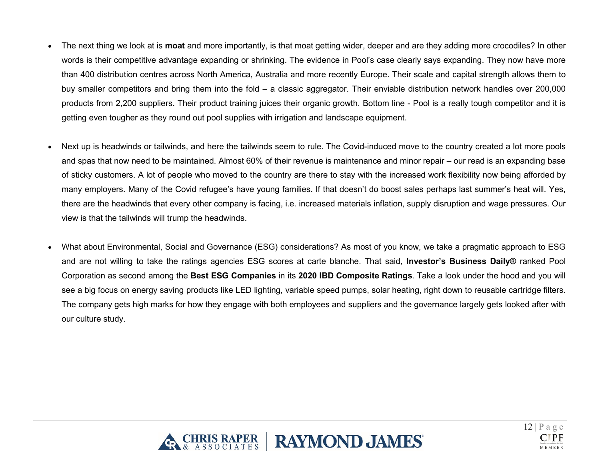- The next thing we look at is **moat** and more importantly, is that moat getting wider, deeper and are they adding more crocodiles? In other words is their competitive advantage expanding or shrinking. The evidence in Pool's case clearly says expanding. They now have more than 400 distribution centres across North America, Australia and more recently Europe. Their scale and capital strength allows them to buy smaller competitors and bring them into the fold – a classic aggregator. Their enviable distribution network handles over 200,000 products from 2,200 suppliers. Their product training juices their organic growth. Bottom line - Pool is a really tough competitor and it is getting even tougher as they round out pool supplies with irrigation and landscape equipment.
- Next up is headwinds or tailwinds, and here the tailwinds seem to rule. The Covid-induced move to the country created a lot more pools and spas that now need to be maintained. Almost 60% of their revenue is maintenance and minor repair – our read is an expanding base of sticky customers. A lot of people who moved to the country are there to stay with the increased work flexibility now being afforded by many employers. Many of the Covid refugee's have young families. If that doesn't do boost sales perhaps last summer's heat will. Yes, there are the headwinds that every other company is facing, i.e. increased materials inflation, supply disruption and wage pressures. Our view is that the tailwinds will trump the headwinds.
- What about Environmental, Social and Governance (ESG) considerations? As most of you know, we take a pragmatic approach to ESG and are not willing to take the ratings agencies ESG scores at carte blanche. That said, **Investor's Business Daily®** ranked Pool Corporation as second among the **Best ESG Companies** in its **2020 IBD Composite Ratings**. Take a look under the hood and you will see a big focus on energy saving products like LED lighting, variable speed pumps, solar heating, right down to reusable cartridge filters. The company gets high marks for how they engage with both employees and suppliers and the governance largely gets looked after with our culture study.



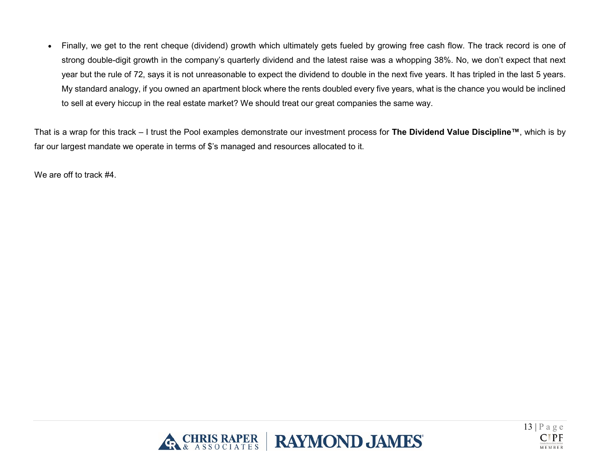• Finally, we get to the rent cheque (dividend) growth which ultimately gets fueled by growing free cash flow. The track record is one of strong double-digit growth in the company's quarterly dividend and the latest raise was a whopping 38%. No, we don't expect that next year but the rule of 72, says it is not unreasonable to expect the dividend to double in the next five years. It has tripled in the last 5 years. My standard analogy, if you owned an apartment block where the rents doubled every five years, what is the chance you would be inclined to sell at every hiccup in the real estate market? We should treat our great companies the same way.

That is a wrap for this track – I trust the Pool examples demonstrate our investment process for **The Dividend Value Discipline™**, which is by far our largest mandate we operate in terms of \$'s managed and resources allocated to it.

We are off to track #4.



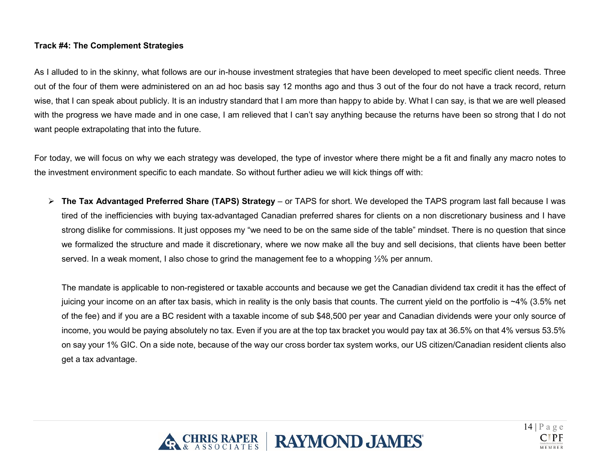# <span id="page-13-0"></span>**Track #4: The Complement Strategies**

As I alluded to in the skinny, what follows are our in-house investment strategies that have been developed to meet specific client needs. Three out of the four of them were administered on an ad hoc basis say 12 months ago and thus 3 out of the four do not have a track record, return wise, that I can speak about publicly. It is an industry standard that I am more than happy to abide by. What I can say, is that we are well pleased with the progress we have made and in one case, I am relieved that I can't say anything because the returns have been so strong that I do not want people extrapolating that into the future.

For today, we will focus on why we each strategy was developed, the type of investor where there might be a fit and finally any macro notes to the investment environment specific to each mandate. So without further adieu we will kick things off with:

 **The Tax Advantaged Preferred Share (TAPS) Strategy** – or TAPS for short. We developed the TAPS program last fall because I was tired of the inefficiencies with buying tax-advantaged Canadian preferred shares for clients on a non discretionary business and I have strong dislike for commissions. It just opposes my "we need to be on the same side of the table" mindset. There is no question that since we formalized the structure and made it discretionary, where we now make all the buy and sell decisions, that clients have been better served. In a weak moment, I also chose to grind the management fee to a whopping  $\frac{1}{2}\%$  per annum.

The mandate is applicable to non-registered or taxable accounts and because we get the Canadian dividend tax credit it has the effect of juicing your income on an after tax basis, which in reality is the only basis that counts. The current yield on the portfolio is ~4% (3.5% net of the fee) and if you are a BC resident with a taxable income of sub \$48,500 per year and Canadian dividends were your only source of income, you would be paying absolutely no tax. Even if you are at the top tax bracket you would pay tax at 36.5% on that 4% versus 53.5% on say your 1% GIC. On a side note, because of the way our cross border tax system works, our US citizen/Canadian resident clients also get a tax advantage.



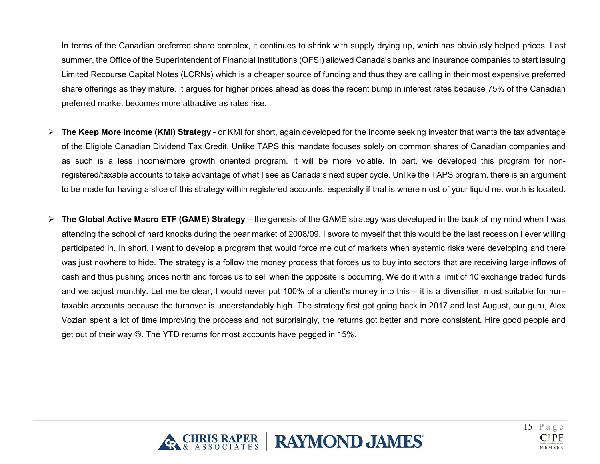In terms of the Canadian preferred share complex, it continues to shrink with supply drying up, which has obviously helped prices. Last summer, the Office of the Superintendent of Financial Institutions (OFSI) allowed Canada's banks and insurance companies to start issuing Limited Recourse Capital Notes (LCRNs) which is a cheaper source of funding and thus they are calling in their most expensive preferred share offerings as they mature. It argues for higher prices ahead as does the recent bump in interest rates because 75% of the Canadian preferred market becomes more attractive as rates rise.

- **The Keep More Income (KMI) Strategy** or KMI for short, again developed for the income seeking investor that wants the tax advantage of the Eligible Canadian Dividend Tax Credit. Unlike TAPS this mandate focuses solely on common shares of Canadian companies and as such is a less income/more growth oriented program. It will be more volatile. In part, we developed this program for nonregistered/taxable accounts to take advantage of what I see as Canada's next super cycle. Unlike the TAPS program, there is an argument to be made for having a slice of this strategy within registered accounts, especially if that is where most of your liquid net worth is located.
- **The Global Active Macro ETF (GAME) Strategy** the genesis of the GAME strategy was developed in the back of my mind when I was attending the school of hard knocks during the bear market of 2008/09. I swore to myself that this would be the last recession I ever willing participated in. In short, I want to develop a program that would force me out of markets when systemic risks were developing and there was just nowhere to hide. The strategy is a follow the money process that forces us to buy into sectors that are receiving large inflows of cash and thus pushing prices north and forces us to sell when the opposite is occurring. We do it with a limit of 10 exchange traded funds and we adjust monthly. Let me be clear, I would never put 100% of a client's money into this – it is a diversifier, most suitable for nontaxable accounts because the turnover is understandably high. The strategy first got going back in 2017 and last August, our guru, Alex Vozian spent a lot of time improving the process and not surprisingly, the returns got better and more consistent. Hire good people and get out of their way  $\circledcirc$ . The YTD returns for most accounts have pegged in 15%.



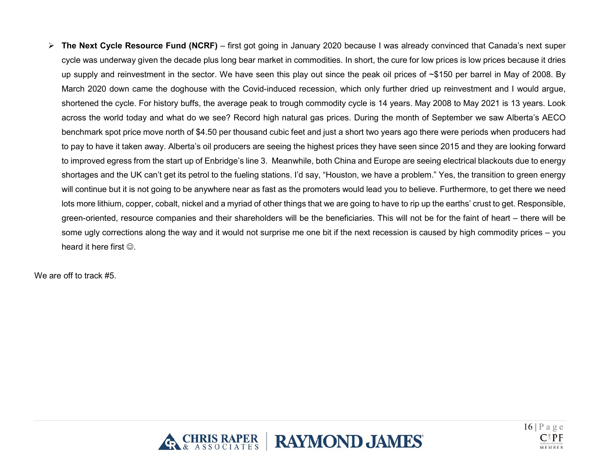**The Next Cycle Resource Fund (NCRF)** – first got going in January 2020 because I was already convinced that Canada's next super cycle was underway given the decade plus long bear market in commodities. In short, the cure for low prices is low prices because it dries up supply and reinvestment in the sector. We have seen this play out since the peak oil prices of ~\$150 per barrel in May of 2008. By March 2020 down came the doghouse with the Covid-induced recession, which only further dried up reinvestment and I would argue, shortened the cycle. For history buffs, the average peak to trough commodity cycle is 14 years. May 2008 to May 2021 is 13 years. Look across the world today and what do we see? Record high natural gas prices. During the month of September we saw Alberta's AECO benchmark spot price move north of \$4.50 per thousand cubic feet and just a short two years ago there were periods when producers had to pay to have it taken away. Alberta's oil producers are seeing the highest prices they have seen since 2015 and they are looking forward to improved egress from the start up of Enbridge's line 3. Meanwhile, both China and Europe are seeing electrical blackouts due to energy shortages and the UK can't get its petrol to the fueling stations. I'd say, "Houston, we have a problem." Yes, the transition to green energy will continue but it is not going to be anywhere near as fast as the promoters would lead you to believe. Furthermore, to get there we need lots more lithium, copper, cobalt, nickel and a myriad of other things that we are going to have to rip up the earths' crust to get. Responsible, green-oriented, resource companies and their shareholders will be the beneficiaries. This will not be for the faint of heart – there will be some ugly corrections along the way and it would not surprise me one bit if the next recession is caused by high commodity prices – you heard it here first  $\odot$ .

We are off to track #5



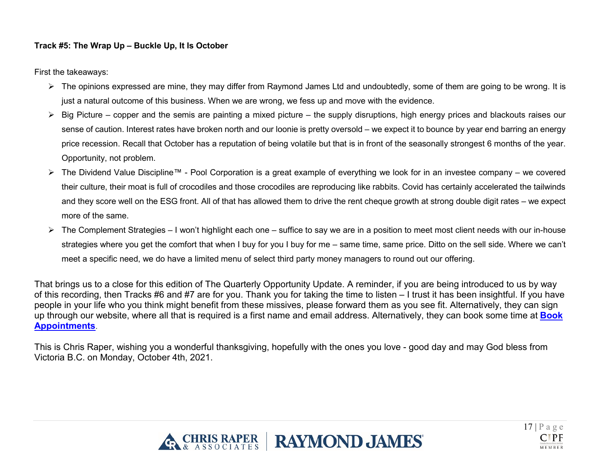# <span id="page-16-0"></span>**Track #5: The Wrap Up – Buckle Up, It Is October**

First the takeaways:

- $\triangleright$  The opinions expressed are mine, they may differ from Raymond James Ltd and undoubtedly, some of them are going to be wrong. It is just a natural outcome of this business. When we are wrong, we fess up and move with the evidence.
- $\triangleright$  Big Picture copper and the semis are painting a mixed picture the supply disruptions, high energy prices and blackouts raises our sense of caution. Interest rates have broken north and our loonie is pretty oversold – we expect it to bounce by year end barring an energy price recession. Recall that October has a reputation of being volatile but that is in front of the seasonally strongest 6 months of the year. Opportunity, not problem.
- The Dividend Value Discipline™ Pool Corporation is a great example of everything we look for in an investee company we covered their culture, their moat is full of crocodiles and those crocodiles are reproducing like rabbits. Covid has certainly accelerated the tailwinds and they score well on the ESG front. All of that has allowed them to drive the rent cheque growth at strong double digit rates – we expect more of the same.
- The Complement Strategies I won't highlight each one suffice to say we are in a position to meet most client needs with our in-house strategies where you get the comfort that when I buy for you I buy for me – same time, same price. Ditto on the sell side. Where we can't meet a specific need, we do have a limited menu of select third party money managers to round out our offering.

That brings us to a close for this edition of The Quarterly Opportunity Update. A reminder, if you are being introduced to us by way of this recording, then Tracks #6 and #7 are for you. Thank you for taking the time to listen – I trust it has been insightful. If you have people in your life who you think might benefit from these missives, please forward them as you see fit. Alternatively, they can sign up through our website, where all that is required is a first name and email address. Alternatively, they can book some time at **[Book](https://outlook.office365.com/owa/calendar/ChrisRaperAssociates@raymondjamesprod.onmicrosoft.com/bookings/)  [Appointments](https://outlook.office365.com/owa/calendar/ChrisRaperAssociates@raymondjamesprod.onmicrosoft.com/bookings/)**.

This is Chris Raper, wishing you a wonderful thanksgiving, hopefully with the ones you love - good day and may God bless from Victoria B.C. on Monday, October 4th, 2021.



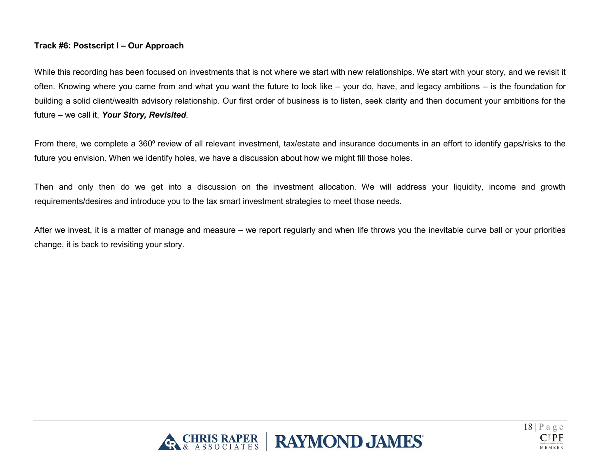# <span id="page-17-0"></span>**Track #6: Postscript I – Our Approach**

While this recording has been focused on investments that is not where we start with new relationships. We start with your story, and we revisit it often. Knowing where you came from and what you want the future to look like – your do, have, and legacy ambitions – is the foundation for building a solid client/wealth advisory relationship. Our first order of business is to listen, seek clarity and then document your ambitions for the future – we call it, *Your Story, Revisited*.

From there, we complete a 360<sup>°</sup> review of all relevant investment, tax/estate and insurance documents in an effort to identify gaps/risks to the future you envision. When we identify holes, we have a discussion about how we might fill those holes.

Then and only then do we get into a discussion on the investment allocation. We will address your liquidity, income and growth requirements/desires and introduce you to the tax smart investment strategies to meet those needs.

After we invest, it is a matter of manage and measure – we report regularly and when life throws you the inevitable curve ball or your priorities change, it is back to revisiting your story.



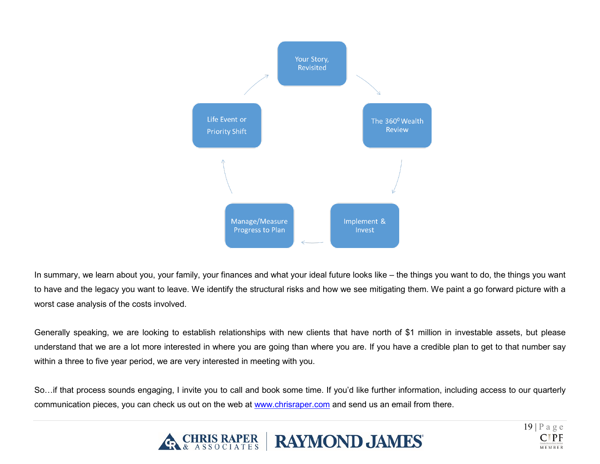

In summary, we learn about you, your family, your finances and what your ideal future looks like – the things you want to do, the things you want to have and the legacy you want to leave. We identify the structural risks and how we see mitigating them. We paint a go forward picture with a worst case analysis of the costs involved.

Generally speaking, we are looking to establish relationships with new clients that have north of \$1 million in investable assets, but please understand that we are a lot more interested in where you are going than where you are. If you have a credible plan to get to that number say within a three to five year period, we are very interested in meeting with you.

So…if that process sounds engaging, I invite you to call and book some time. If you'd like further information, including access to our quarterly communication pieces, you can check us out on the web at [www.chrisraper.com](http://www.chrisraper.com/) and send us an email from there.



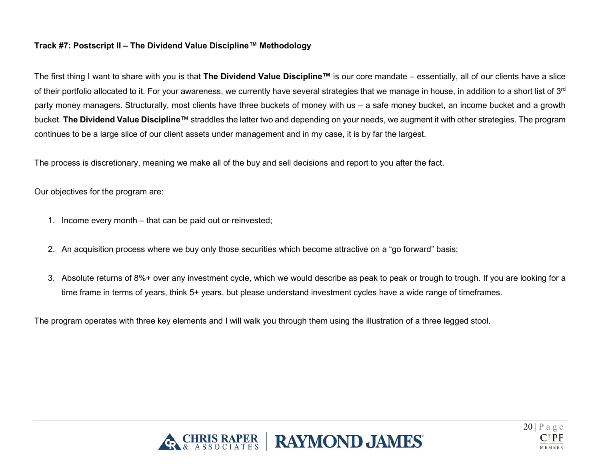# <span id="page-19-0"></span>**Track #7: Postscript II – The Dividend Value Discipline™ Methodology**

The first thing I want to share with you is that **The Dividend Value Discipline™** is our core mandate – essentially, all of our clients have a slice of their portfolio allocated to it. For your awareness, we currently have several strategies that we manage in house, in addition to a short list of 3<sup>rd</sup> party money managers. Structurally, most clients have three buckets of money with us – a safe money bucket, an income bucket and a growth bucket. **The Dividend Value Discipline**™ straddles the latter two and depending on your needs, we augment it with other strategies. The program continues to be a large slice of our client assets under management and in my case, it is by far the largest.

The process is discretionary, meaning we make all of the buy and sell decisions and report to you after the fact.

Our objectives for the program are:

- 1. Income every month that can be paid out or reinvested;
- 2. An acquisition process where we buy only those securities which become attractive on a "go forward" basis;
- 3. Absolute returns of 8%+ over any investment cycle, which we would describe as peak to peak or trough to trough. If you are looking for a time frame in terms of years, think 5+ years, but please understand investment cycles have a wide range of timeframes.

The program operates with three key elements and I will walk you through them using the illustration of a three legged stool.



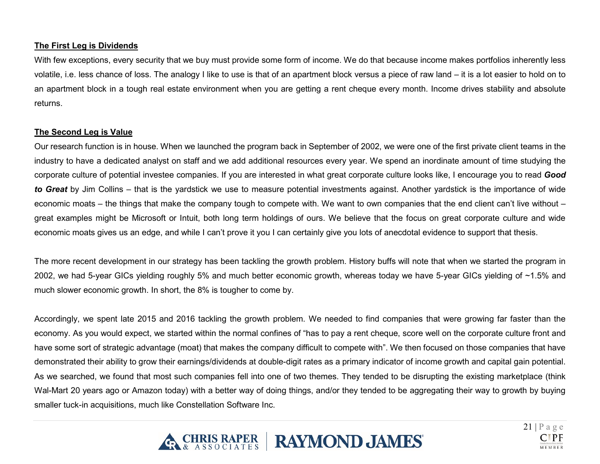# **The First Leg is Dividends**

With few exceptions, every security that we buy must provide some form of income. We do that because income makes portfolios inherently less volatile, i.e. less chance of loss. The analogy I like to use is that of an apartment block versus a piece of raw land – it is a lot easier to hold on to an apartment block in a tough real estate environment when you are getting a rent cheque every month. Income drives stability and absolute returns.

## **The Second Leg is Value**

Our research function is in house. When we launched the program back in September of 2002, we were one of the first private client teams in the industry to have a dedicated analyst on staff and we add additional resources every year. We spend an inordinate amount of time studying the corporate culture of potential investee companies. If you are interested in what great corporate culture looks like, I encourage you to read *Good to Great* by Jim Collins – that is the yardstick we use to measure potential investments against. Another yardstick is the importance of wide economic moats – the things that make the company tough to compete with. We want to own companies that the end client can't live without – great examples might be Microsoft or Intuit, both long term holdings of ours. We believe that the focus on great corporate culture and wide economic moats gives us an edge, and while I can't prove it you I can certainly give you lots of anecdotal evidence to support that thesis.

The more recent development in our strategy has been tackling the growth problem. History buffs will note that when we started the program in 2002, we had 5-year GICs yielding roughly 5% and much better economic growth, whereas today we have 5-year GICs yielding of ~1.5% and much slower economic growth. In short, the 8% is tougher to come by.

Accordingly, we spent late 2015 and 2016 tackling the growth problem. We needed to find companies that were growing far faster than the economy. As you would expect, we started within the normal confines of "has to pay a rent cheque, score well on the corporate culture front and have some sort of strategic advantage (moat) that makes the company difficult to compete with". We then focused on those companies that have demonstrated their ability to grow their earnings/dividends at double-digit rates as a primary indicator of income growth and capital gain potential. As we searched, we found that most such companies fell into one of two themes. They tended to be disrupting the existing marketplace (think Wal-Mart 20 years ago or Amazon today) with a better way of doing things, and/or they tended to be aggregating their way to growth by buying smaller tuck-in acquisitions, much like Constellation Software Inc.



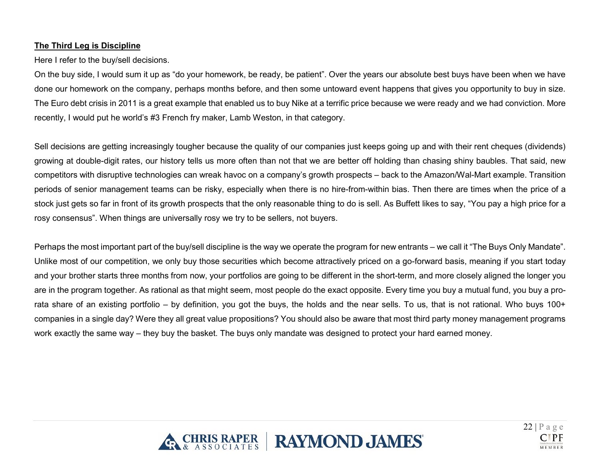## **The Third Leg is Discipline**

Here I refer to the buy/sell decisions.

On the buy side, I would sum it up as "do your homework, be ready, be patient". Over the years our absolute best buys have been when we have done our homework on the company, perhaps months before, and then some untoward event happens that gives you opportunity to buy in size. The Euro debt crisis in 2011 is a great example that enabled us to buy Nike at a terrific price because we were ready and we had conviction. More recently, I would put he world's #3 French fry maker, Lamb Weston, in that category.

Sell decisions are getting increasingly tougher because the quality of our companies just keeps going up and with their rent cheques (dividends) growing at double-digit rates, our history tells us more often than not that we are better off holding than chasing shiny baubles. That said, new competitors with disruptive technologies can wreak havoc on a company's growth prospects – back to the Amazon/Wal-Mart example. Transition periods of senior management teams can be risky, especially when there is no hire-from-within bias. Then there are times when the price of a stock just gets so far in front of its growth prospects that the only reasonable thing to do is sell. As Buffett likes to say, "You pay a high price for a rosy consensus". When things are universally rosy we try to be sellers, not buyers.

Perhaps the most important part of the buy/sell discipline is the way we operate the program for new entrants – we call it "The Buys Only Mandate". Unlike most of our competition, we only buy those securities which become attractively priced on a go-forward basis, meaning if you start today and your brother starts three months from now, your portfolios are going to be different in the short-term, and more closely aligned the longer you are in the program together. As rational as that might seem, most people do the exact opposite. Every time you buy a mutual fund, you buy a prorata share of an existing portfolio – by definition, you got the buys, the holds and the near sells. To us, that is not rational. Who buys 100+ companies in a single day? Were they all great value propositions? You should also be aware that most third party money management programs work exactly the same way – they buy the basket. The buys only mandate was designed to protect your hard earned money.